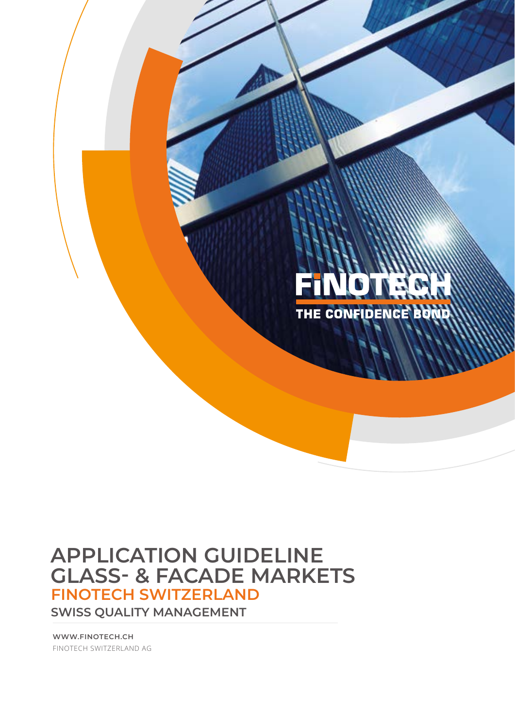

# **APPLICATION GUIDELINE GLASS- & FACADE MARKETS FINOTECH SWITZERLAND SWISS QUALITY MANAGEMENT**

PRODUCT APPLICATION DOCUMENT FINOTECH SWITZERLAND AG

**WWW.FINOTECH.CH** FINOTECH SWITZERLAND AG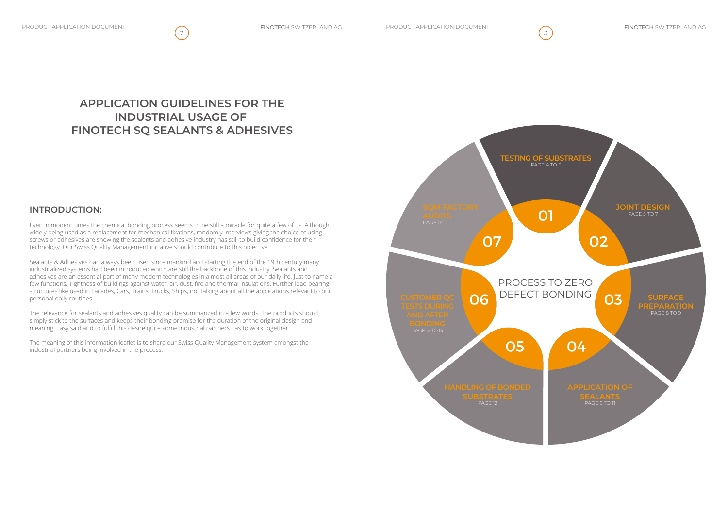# **APPLICATION GUIDELINES FOR THE INDUSTRIAL USAGE OF FINOTECH SQ SEALANTS & ADHESIVES**

# **INTRODUCTION:**

Even in modern times the chemical bonding process seems to be still a miracle for quite a few of us. Although widely being used as a replacement for mechanical fixations, randomly interviews giving the choice of using screws or adhesives are showing the sealants and adhesive industry has still to build confidence for their technology. Our Swiss Quality Management initiative should contribute to this objective.

Sealants & Adhesives had always been used since mankind and starting the end of the 19th century many industrialized systems had been introduced which are still the backbone of this industry. Sealants and adhesives are an essential part of many modern technologies in almost all areas of our daily life. Just to name a few functions. Tightness of buildings against water, air, dust, fire and thermal insulations. Further load bearing structures like used in Facades, Cars, Trains, Trucks, Ships, not talking about all the applications relevant to our personal daily routines.

The relevance for sealants and adhesives quality can be summarized in a few words. The products should simply stick to the surfaces and keeps their bonding promise for the duration of the original design and meaning. Easy said and to fulfill this desire quite some industrial partners has to work together.

The meaning of this information leaflet is to share our Swiss Quality Management system amongst the industrial partners being involved in the process.

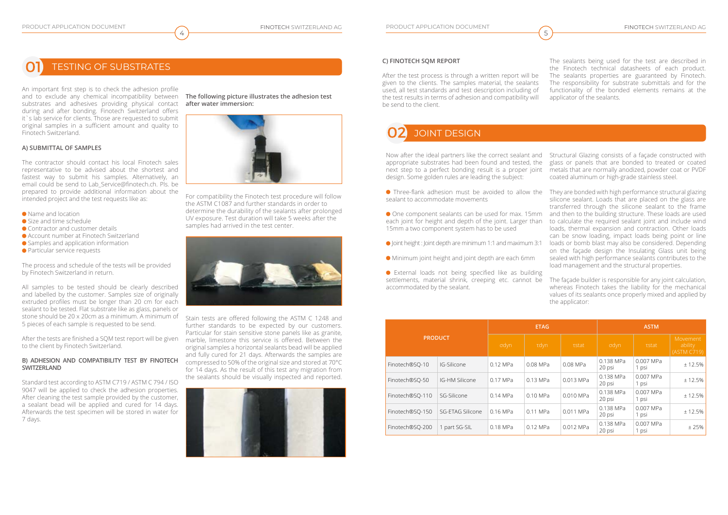An important first step is to check the adhesion profile and to exclude any chemical incompatibility between substrates and adhesives providing physical contact during and after bonding. Finotech Switzerland offers it`s lab service for clients. Those are requested to submit original samples in a sufficient amount and quality to Finotech Switzerland.

### **A) SUBMITTAL OF SAMPLES**

The contractor should contact his local Finotech sales representative to be advised about the shortest and fastest way to submit his samples. Alternatively, an email could be send to Lab\_Service@finotech.ch. Pls. be prepared to provide additional information about the intended project and the test requests like as:

- Name and location
- Size and time schedule
- **Contractor and customer details**
- Account number at Finotech Switzerland
- Samples and application information
- Particular service requests

The process and schedule of the tests will be provided by Finotech Switzerland in return.

All samples to be tested should be clearly described and labelled by the customer. Samples size of originally extruded profiles must be longer than 20 cm for each sealant to be tested. Flat substrate like as glass, panels or stone should be 20 x 20cm as a minimum. A minimum of 5 pieces of each sample is requested to be send.

After the tests are finished a SQM test report will be given to the client by Finotech Switzerland.

### **B) ADHESION AND COMPATIBILITY TEST BY FINOTECH SWITZERLAND**

Three-flank adhesion must be avoided to allow the They are bonded with high performance structural glazing One component sealants can be used for max. 15mm and then to the building structure. These loads are used silicone sealant. Loads that are placed on the glass are transferred through the silicone sealant to the frame to calculate the required sealant joint and include wind loads, thermal expansion and contraction. Other loads can be snow loading, impact loads being point or line loads or bomb blast may also be considered. Depending on the façade design the Insulating Glass unit being sealed with high performance sealants contributes to the load management and the structural properties.

Standard test according to ASTM C719 / ASTM C 794 / ISO 9047 will be applied to check the adhesion properties. After cleaning the test sample provided by the customer, a sealant bead will be applied and cured for 14 days. Afterwards the test specimen will be stored in water for 7 days.

Now after the ideal partners like the correct sealant and Structural Glazing consists of a façade constructed with appropriate substrates had been found and tested, the next step to a perfect bonding result is a proper joint design. Some golden rules are leading the subject: glass or panels that are bonded to treated or coated metals that are normally anodized, powder coat or PVDF coated aluminum or high-grade stainless steel.

- sealant to accommodate movements
- each joint for height and depth of the joint. Larger than 15mm a two component system has to be used
- Joint height : Joint depth are minimum 1:1 and maximum 3:1
- Minimum joint height and joint depth are each 6mm
- External loads not being specified like as building settlements, material shrink, creeping etc. cannot be accommodated by the sealant.

The façade builder is responsible for any joint calculation, whereas Finotech takes the liability for the mechanical values of its sealants once properly mixed and applied by the applicator:

**The following picture illustrates the adhesion test after water immersion:**



For compatibility the Finotech test procedure will follow the ASTM C1087 and further standards in order to determine the durability of the sealants after prolonged UV exposure. Test duration will take 5 weeks after the samples had arrived in the test center.



Stain tests are offered following the ASTM C 1248 and further standards to be expected by our customers. Particular for stain sensitive stone panels like as granite, marble, limestone this service is offered. Between the original samples a horizontal sealants bead will be applied and fully cured for 21 days. Afterwards the samples are compressed to 50% of the original size and stored at 70°C for 14 days. As the result of this test any migration from the sealants should be visually inspected and reported.



#### **C) FINOTECH SQM REPORT**

After the test process is through a written report will be given to the clients. The samples material, the sealants used, all test standards and test description including of the test results in terms of adhesion and compatibility will be send to the client. The sealants being used for the test are described in the Finotech technical datasheets of each product. The sealants properties are guaranteed by Finotech. The responsibility for substrate submittals and for the functionality of the bonded elements remains at the applicator of the sealants.

# TESTING OF SUBSTRATES



| <b>PRODUCT</b>  |                  |            | <b>ETAG</b> |              | <b>ASTM</b>         |                    |                                    |
|-----------------|------------------|------------|-------------|--------------|---------------------|--------------------|------------------------------------|
|                 |                  | odyn       | <b>tdyn</b> | <b>tstat</b> | odyn                | <b>tstat</b>       | Movement<br>ability<br>(ASTM C719) |
| Finotech®SQ-10  | IG-Silicone      | 0.12 MPa   | 0.08 MPa    | 0.08 MPa     | 0.138 MPa<br>20 psi | 0.007 MPa<br>1 psi | ± 12.5%                            |
| Finotech®SQ-50  | IG-HM Silicone   | $0.17$ MPa | 0.13 MPa    | 0.013 MPa    | 0.138 MPa<br>20 psi | 0.007 MPa<br>1 psi | ± 12.5%                            |
| Finotech®SQ-110 | SG-Silicone      | 0.14 MPa   | $0.10$ MPa  | 0.010 MPa    | 0.138 MPa<br>20 psi | 0.007 MPa<br>1 psi | ± 12.5%                            |
| Finotech®SQ-150 | SG-ETAG Silicone | $0.16$ MPa | $0.11$ MPa  | 0.011 MPa    | 0.138 MPa<br>20 psi | 0.007 MPa<br>1 psi | ± 12.5%                            |
| Finotech®SQ-200 | part SG-SIL      | 0.18 MPa   | $0.12$ MPa  | 0.012 MPa    | 0.138 MPa<br>20 psi | 0.007 MPa<br>1 psi | ± 25%                              |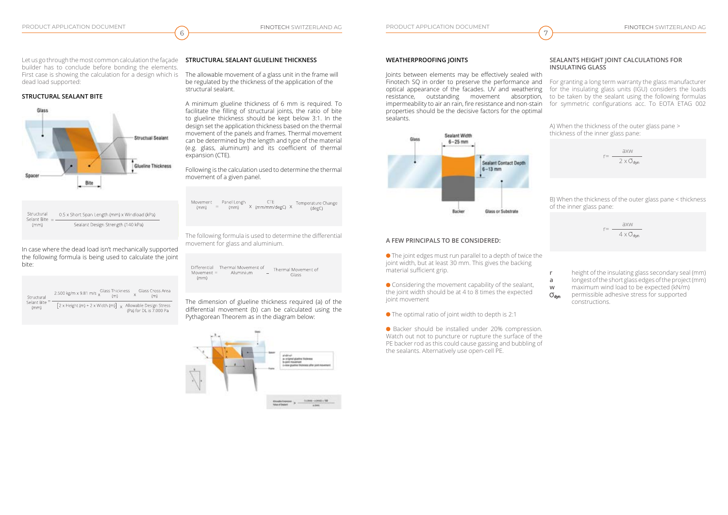## **SEALANTS HEIGHT JOINT CALCULATIONS FOR INSULATING GLASS**

**r** height of the insulating glass secondary seal (mm) **a** longest of the short glass edges of the project (mm) **w** maximum wind load to be expected (kN/m) permissible adhesive stress for supported constructions.

A) When the thickness of the outer glass pane > thickness of the inner glass pane:

B) When the thickness of the outer glass pane < thickness of the inner glass pane:

Let us go through the most common calculation the façade **STRUCTURAL SEALANT GLUELINE THICKNESS** builder has to conclude before bonding the elements. First case is showing the calculation for a design which is The allowable movement of a glass unit in the frame will dead load supported:

#### **STRUCTURAL SEALANT BITE**



| Structural              | 0.5 x Short Span Length (mm) x Windload (kPa) |
|-------------------------|-----------------------------------------------|
| Selant Bite $=$<br>(mm) | Sealant Design Strength (140 kPa)             |

In case where the dead load isn't mechanically supported the following formula is being used to calculate the joint bite:

| Structural<br>Selant Bite $=$<br>(mm) | 2.500 kg/m x 9.81 m/s $\frac{G \text{lass Thickness}}{(m)}$<br>Glass Cross Area                                                                                |
|---------------------------------------|----------------------------------------------------------------------------------------------------------------------------------------------------------------|
|                                       | $\begin{bmatrix} 2 \times \text{Height (m)} + 2 \times \text{Width (m)} \times \text{Allowable Design Stress} \\ \text{(Pa) for DL is 7.000 Pa} \end{bmatrix}$ |

be regulated by the thickness of the application of the structural sealant.

For granting a long term warranty the glass manufacturer for the insulating glass units (IGU) considers the loads to be taken by the sealant using the following formulas for symmetric configurations acc. To EOTA ETAG 002 Joints between elements may be effectively sealed with Finotech SQ in order to preserve the performance and optical appearance of the facades. UV and weathering resistance, outstanding movement absorption, impermeability to air an rain, fire resistance and non-stain properties should be the decisive factors for the optimal sealants.



● Backer should be installed under 20% compression. Watch out not to puncture or rupture the surface of the PE backer rod as this could cause gassing and bubbling of the sealants. Alternatively use open-cell PE.

A minimum glueline thickness of 6 mm is required. To facilitate the filling of structural joints, the ratio of bite to glueline thickness should be kept below 3:1. In the design set the application thickness based on the thermal movement of the panels and frames. Thermal movement can be determined by the length and type of the material (e.g. glass, aluminum) and its coefficient of thermal expansion (CTE).

#### Following is the calculation used to determine the thermal movement of a given panel.

| Movement<br>(mm) | $=$ | Panel Lengh<br>(mm) | $\sim$ CTE $\sim$<br>X (mm/mm/degC) X | Temperature Change<br>(degC) |
|------------------|-----|---------------------|---------------------------------------|------------------------------|
|                  |     |                     |                                       |                              |

The following formula is used to determine the differential movement for glass and aluminium.

Differential Thermal Movement of Thermal Movement of Movement = Aluminium = Glass  $(mm)$ 

The dimension of glueline thickness required (a) of the differential movement (b) can be calculated using the Pythagorean Theorem as in the diagram below:



#### **WEATHERPROOFING JOINTS**

#### **A FEW PRINCIPALS TO BE CONSIDERED:**

 The joint edges must run parallel to a depth of twice the joint width, but at least 30 mm. This gives the backing material sufficient grip.

 Considering the movement capability of the sealant, the joint width should be at 4 to 8 times the expected joint movement

● The optimal ratio of joint width to depth is 2:1

$$
r = \frac{axw}{2 \times O_{\text{dyn}}}
$$

$$
r = \frac{axw}{4 \times O_{dyn}}
$$

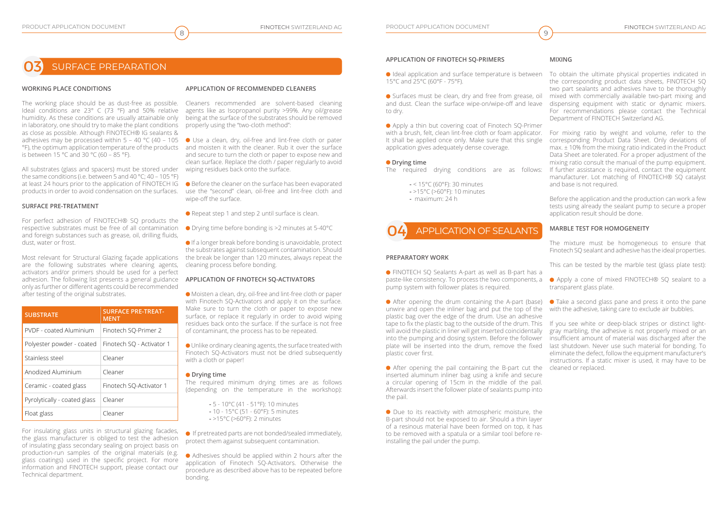#### **WORKING PLACE CONDITIONS**

The working place should be as dust-free as possible. Ideal conditions are 23° C (73 °F) and 50% relative humidity. As these conditions are usually attainable only in laboratory, one should try to make the plant conditions properly using the "two-cloth method": as close as possible. Although FINOTECH® IG sealants & is between 15 °C and 30 °C (60 – 85 °F).

For perfect adhesion of FINOTECH® SQ products the respective substrates must be free of all contamination Drying time before bonding is >2 minutes at 5-40°C and foreign substances such as grease, oil, drilling fluids, dust, water or frost.

All substrates (glass and spacers) must be stored under wiping residues back onto the surface. the same conditions (i.e. between 5 and 40 °C; 40 – 105 °F) products in order to avoid condensation on the surfaces.

#### **SURFACE PRE-TREATMENT**

Most relevant for Structural Glazing façade applications are the following substrates where cleaning agents, activators and/or primers should be used for a perfect adhesion. The following list presents a general guidance **APPLICATION OF FINOTECH SQ-ACTIVATORS** only as further or different agents could be recommended after testing of the original substrates.

| <b>SUBSTRATE</b>             | <b>SURFACE PRE-TREAT-</b><br><b>MENT</b> |
|------------------------------|------------------------------------------|
| PVDE - coated Aluminium      | Finotech SQ-Primer 2                     |
| Polyester powder - coated    | Finotech SQ - Activator 1                |
| Stainless steel              | Cleaner                                  |
| Anodized Aluminium           | Cleaner                                  |
| Ceramic - coated glass       | Finotech SQ-Activator 1                  |
| Pyrolytically - coated glass | Cleaner                                  |
| Float glass                  | Cleaner                                  |

For insulating glass units in structural glazing facades, the glass manufacturer is obliged to test the adhesion of insulating glass secondary sealing on project basis on production-run samples of the original materials (e.g. glass coatings) used in the specific project. For more information and FINOTECH support, please contact our Technical department.

#### **APPLICATION OF FINOTECH SQ-PRIMERS**

adhesives may be processed within  $5 - 40 \degree C$  (40 – 105  $\degree$  Use a clean, dry, oil-free and lint-free cloth or pater °F), the optimum application temperature of the products and moisten it with the cleaner. Rub it over the surface and secure to turn the cloth or paper to expose new and clean surface. Replace the cloth / paper regularly to avoid

at least 24 hours prior to the application of FINOTECH IG ● Before the cleaner on the surface has been evaporated use the "second" clean, oil-free and lint-free cloth and wipe-off the surface.

- Repeat step 1 and step 2 until surface is clean.
- 

Apply a thin but covering coat of Finotech SQ-Primer

#### **Drying time**

- 
- **-** >15°C (>60°F): 10 minutes
- **-** maximum: 24 h

### **PREPARATORY WORK**

Ideal application and surface temperature is between To obtain the ultimate physical properties indicated in 15°C and 25°C (60°F - 75°F). ● Surfaces must be clean, dry and free from grease, oil and dust. Clean the surface wipe-on/wipe-off and leave to dry. the corresponding product data sheets, FINOTECH SQ two part sealants and adhesives have to be thoroughly mixed with commercially available two-part mixing and dispensing equipment with static or dynamic mixers. For recommendations please contact the Technical Department of FINOTECH Switzerland AG.

inserted aluminum inliner bag using a knife and secure a circular opening of 15cm in the middle of the pail. Afterwards insert the follower plate of sealants pump into the pail.

 Due to its reactivity with atmospheric moisture, the B-part should not be exposed to air. Should a thin layer of a resinous material have been formed on top, it has to be removed with a spatula or a similar tool before reinstalling the pail under the pump.

#### **APPLICATION OF RECOMMENDED CLEANERS**

Cleaners recommended are solvent-based cleaning agents like as Isopropanol purity >99%. Any oil/grease being at the surface of the substrates should be removed

> with a brush, felt, clean lint-free cloth or foam applicator. It shall be applied once only. Make sure that this single application gives adequately dense coverage. The required drying conditions are as follows: **-** < 15°C (60°F): 30 minutes For mixing ratio by weight and volume, refer to the corresponding Product Data Sheet. Only deviations of max. ± 10% from the mixing ratio indicated in the Product Data Sheet are tolerated. For a proper adjustment of the mixing ratio consult the manual of the pump equipment. If further assistance is required, contact the equipment manufacturer. Lot matching of FINOTECH® SQ catalyst and base is not required.

 If a longer break before bonding is unavoidable, protect the substrates against subsequent contamination. Should the break be longer than 120 minutes, always repeat the cleaning process before bonding.

 FINOTECH SQ Sealants A-part as well as B-part has a paste-like consistency. To process the two components, a pump system with follower plates is required. ● Apply a cone of mixed FINOTECH® SO sealant to a transparent glass plate.

 Moisten a clean, dry, oil-free and lint-free cloth or paper with Finotech SQ-Activators and apply it on the surface. Make sure to turn the cloth or paper to expose new surface, or replace it regularly in order to avoid wiping residues back onto the surface. If the surface is not free of contaminant, the process has to be repeated.

 After opening the drum containing the A-part (base) unwire and open the inliner bag and put the top of the plastic bag over the edge of the drum. Use an adhesive tape to fix the plastic bag to the outside of the drum. This If you see white or deep-black stripes or distinct lightwill avoid the plastic in liner will get inserted coincidentally into the pumping and dosing system. Before the follower plate will be inserted into the drum, remove the fixed plastic cover first. After opening the pail containing the B-part cut the cleaned or replaced. Take a second glass pane and press it onto the pane with the adhesive, taking care to exclude air bubbles. gray marbling, the adhesive is not properly mixed or an insufficient amount of material was discharged after the last shutdown. Never use such material for bonding. To eliminate the defect, follow the equipment manufacturer's instructions. If a static mixer is used, it may have to be

 Unlike ordinary cleaning agents, the surface treated with Finotech SQ-Activators must not be dried subsequently with a cloth or paper!

#### **Drying time**

The required minimum drying times are as follows (depending on the temperature in the workshop):

> **-** 5 - 10°C (41 - 51°F): 10 minutes  **-** 10 - 15°C (51 - 60°F): 5 minutes  **-** >15°C (>60°F): 2 minutes

If pretreated parts are not bonded/sealed immediately, protect them against subsequent contamination.

 Adhesives should be applied within 2 hours after the application of Finotech SQ-Activators. Otherwise the procedure as described above has to be repeated before bonding.

# **MIXING**

Before the application and the production can work a few tests using already the sealant pump to secure a proper application result should be done.

# **MARBLE TEST FOR HOMOGENEITY**

The mixture must be homogeneous to ensure that Finotech SQ sealant and adhesive has the ideal properties.

This can be tested by the marble test (glass plate test):

# SURFACE PREPARATION

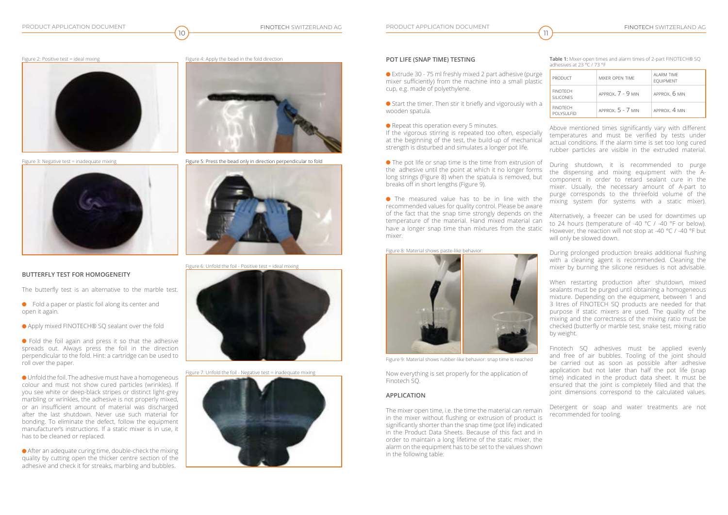Figure 2: Positive test = ideal mixing



Figure 3: Negative test = inadequate mixing



● Fold a paper or plastic foil along its center and open it again.

● Apply mixed FINOTECH® SQ sealant over the fold

### **BUTTERFLY TEST FOR HOMOGENEITY**

The butterfly test is an alternative to the marble test.

● Fold the foil again and press it so that the adhesive spreads out. Always press the foil in the direction perpendicular to the fold. Hint: a cartridge can be used to roll over the paper.

● Extrude 30 - 75 ml freshly mixed 2 part adhesive (purge mixer sufficiently) from the machine into a small plastic cup, e.g. made of polyethylene.

 Unfold the foil. The adhesive must have a homogeneous colour and must not show cured particles (wrinkles). If you see white or deep-black stripes or distinct light-grey marbling or wrinkles, the adhesive is not properly mixed, or an insufficient amount of material was discharged after the last shutdown. Never use such material for bonding. To eliminate the defect, follow the equipment manufacturer's instructions. If a static mixer is in use, it has to be cleaned or replaced.

● Start the timer. Then stir it briefly and vigorously with a wooden spatula.

Repeat this operation every 5 minutes.

 After an adequate curing time, double-check the mixing quality by cutting open the thicker centre section of the adhesive and check it for streaks, marbling and bubbles.

#### Figure 4: Apply the bead in the fold direction



Figure 5: Press the bead only in direction perpendicular to fold



Figure 6: Unfold the foil - Positive test = ideal mixing



Figure 7: Unfold the foil - Negative test = inadequate mixing



#### **POT LIFE (SNAP TIME) TESTING**

**Table 1:** Mixer-open times and alarm times of 2-part FINOTECH® SQ adhesives at 23 °C / 73 °F

Finotech SO adhesives must be applied evenly and free of air bubbles. Tooling of the joint should be carried out as soon as possible after adhesive application but not later than half the pot life (snap time) indicated in the product data sheet. It must be ensured that the joint is completely filled and that the joint dimensions correspond to the calculated values.

Figure 8: Material shows paste-like behavior:



Figure 9: Material shows rubber-like behavior: snap time is reached

Now everything is set properly for the application of Finotech SQ.

If the vigorous stirring is repeated too often, especially at the beginning of the test, the build-up of mechanical strength is disturbed and simulates a longer pot life. Above mentioned times significantly vary with different temperatures and must be verified by tests under actual conditions. If the alarm time is set too long cured rubber particles are visible in the extruded material.

### **APPLICATION**

The mixer open time, i.e. the time the material can remain in the mixer without flushing or extrusion of product is significantly shorter than the snap time (pot life) indicated in the Product Data Sheets. Because of this fact and in order to maintain a long lifetime of the static mixer, the alarm on the equipment has to be set to the values shown in the following table:

 The pot life or snap time is the time from extrusion of the adhesive until the point at which it no longer forms long strings (Figure 8) when the spatula is removed, but breaks off in short lengths (Figure 9). The measured value has to be in line with the During shutdown, it is recommended to purge the dispensing and mixing equipment with the Acomponent in order to retard sealant cure in the mixer. Usually, the necessary amount of A-part to purge corresponds to the threefold volume of the mixing system (for systems with a static mixer).

recommended values for quality control. Please be aware of the fact that the snap time strongly depends on the temperature of the material. Hand mixed material can have a longer snap time than mixtures from the static mixer. Alternatively, a freezer can be used for downtimes up to 24 hours (temperature of -40 °C / -40 °F or below). However, the reaction will not stop at -40 °C / -40 °F but will only be slowed down.

| PRODUCT                       | MIXER OPEN TIME     | AI ARM TIMF<br><b>EQUIPMENT</b> |
|-------------------------------|---------------------|---------------------------------|
| <b>FINOTECH</b><br>SILICONES  | APPROX. $7 - 9$ MIN | APPROX. 6 MIN                   |
| <b>FINOTECH</b><br>POLYSULFID | $APPROX. 5 - 7$ MIN | APPROX. 4 MIN                   |

During prolonged production breaks additional flushing with a cleaning agent is recommended. Cleaning the mixer by burning the silicone residues is not advisable.

When restarting production after shutdown, mixed sealants must be purged until obtaining a homogeneous mixture. Depending on the equipment, between 1 and 3 litres of FINOTECH SQ products are needed for that purpose if static mixers are used. The quality of the mixing and the correctness of the mixing ratio must be checked (butterfly or marble test, snake test, mixing ratio by weight.

Detergent or soap and water treatments are not recommended for tooling.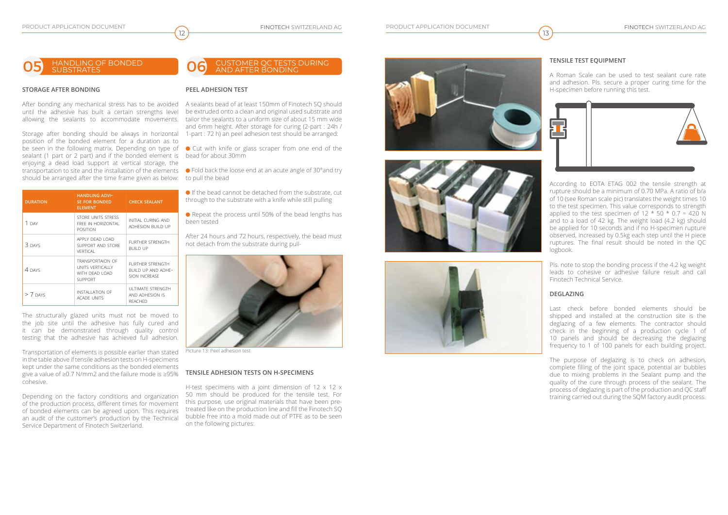#### **STORAGE AFTER BONDING**

After bonding any mechanical stress has to be avoided A sealants bead of at least 150mm of Finotech SQ should until the adhesive has built a certain strengths level allowing the sealants to accommodate movements.

| <b>DURATION</b> | <b>HANDLING ADVI-</b><br>SE FOR BONDED<br><b>ELEMENT</b>                 | <b>CHECK SEALANT</b>                                           |
|-----------------|--------------------------------------------------------------------------|----------------------------------------------------------------|
| 1 $DAY$         | STORE UNITS STRESS<br>FREE IN HORIZONTAL<br><b>POSITION</b>              | INITIAL CURING AND<br>ADHESION BUILD UP                        |
| 3 DAYS          | APPI Y DEAD LOAD<br>SUPPORT AND STORE<br>VERTICAL                        | <b>FURTHER STRENGTH</b><br>BUILD UP                            |
| 4 DAYS          | TRANSPORTAION OF<br>UNITS VERTICALLY<br>WITH DEAD LOAD<br><b>SUPPORT</b> | FURTHER STRENGTH<br>BUILD UP AND ADHE-<br><b>SION INCREASE</b> |
| $> 7$ DAYS      | INSTALL ATION OF<br><b>ACADE UNITS</b>                                   | ULTIMATE STRENGTH<br>AND ADHESION IS<br><b>REACHED</b>         |

The structurally glazed units must not be moved to the job site until the adhesive has fully cured and it can be demonstrated through quality control testing that the adhesive has achieved full adhesion.

Transportation of elements is possible earlier than stated in the table above if tensile adhesion tests on H-specimens kept under the same conditions as the bonded elements give a value of ≥0.7 N/mm2 and the failure mode is ≥95% cohesive.

Depending on the factory conditions and organization of the production process, different times for movement of bonded elements can be agreed upon. This requires an audit of the customer's production by the Technical Service Department of Finotech Switzerland.

# **TENSILE TEST EQUIPMENT**

A Roman Scale can be used to test sealant cure rate and adhesion. Pls. secure a proper curing time for the H-specimen before running this test.



 $\bullet$  If the bead cannot be detached from the substrate, cut through to the substrate with a knife while still pulling

● Repeat the process until 50% of the bead lengths has been tested

Storage after bonding should be always in horizontal 1-part : 72 h) an peel adhesion test should be arranged: position of the bonded element for a duration as to be seen in the following matrix. Depending on type of Cut with knife or glass scraper from one end of the sealant (1 part or 2 part) and if the bonded element is bead for about 30mm enjoying a dead load support at vertical storage, the transportation to site and the installation of the elements **. F**old back the loose end at an acute angle of 30°and try should be arranged after the time frame given as below: to pull the bead

### HANDLING OF BONDED **SUBSTRATES**

According to EOTA ETAG 002 the tensile strength at rupture should be a minimum of 0.70 MPa. A ratio of b/a of 10 (see Roman scale pic) translates the weight times 10 to the test specimen. This value corresponds to strength applied to the test specimen of 12  $*$  50  $*$  0.7 = 420 N and to a load of 42 kg. The weight load (4.2 kg) should be applied for 10 seconds and if no H-specimen rupture observed, increased by 0.5kg each step until the H piece ruptures. The final result should be noted in the QC logbook.

Pls. note to stop the bonding process if the 4.2 kg weight leads to cohesive or adhesive failure result and call Finotech Technical Service.

## **DEGLAZING**

Last check before bonded elements should be shipped and installed at the construction site is the deglazing of a few elements. The contractor should check in the beginning of a production cycle 1 of 10 panels and should be decreasing the deglazing frequency to 1 of 100 panels for each building project.

The purpose of deglazing is to check on adhesion, complete filling of the joint space, potential air bubbles due to mixing problems in the Sealant pump and the quality of the cure through process of the sealant. The process of deglazing is part of the production and QC staff training carried out during the SQM factory audit process.

#### **PEEL ADHESION TEST**

6

be extruded onto a clean and original used substrate and tailor the sealants to a uniform size of about 15 mm wide and 6mm height. After storage for curing (2-part : 24h /

CUSTOMER QC TESTS DURING

After 24 hours and 72 hours, respectively, the bead must not detach from the substrate during pull-



Picture 13: Peel adhesion test

#### **TENSILE ADHESION TESTS ON H-SPECIMENS**

H-test specimens with a joint dimension of 12 x 12 x 50 mm should be produced for the tensile test. For this purpose, use original materials that have been pretreated like on the production line and fill the Finotech SQ bubble free into a mold made out of PTFE as to be seen on the following pictures:







AND AFTER BONDING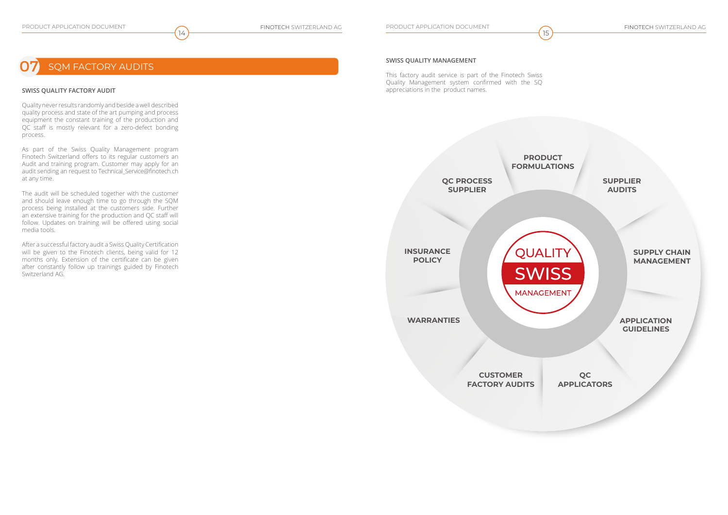### **SWISS QUALITY FACTORY AUDIT**

Quality never results randomly and beside a well described quality process and state of the art pumping and process equipment the constant training of the production and QC staff is mostly relevant for a zero-defect bonding process.

As part of the Swiss Quality Management program Finotech Switzerland offers to its regular customers an Audit and training program. Customer may apply for an audit sending an request to Technical Service@finotech.ch at any time.

The audit will be scheduled together with the customer and should leave enough time to go through the SQM process being installed at the customers side. Further an extensive training for the production and QC staff will follow. Updates on training will be offered using social media tools.

After a successful factory audit a Swiss Quality Certification will be given to the Finotech clients, being valid for 12 months only. Extension of the certificate can be given after constantly follow up trainings guided by Finotech Switzerland AG.

### **SWISS QUALITY MANAGEMENT**

This factory audit service is part of the Finotech Swiss Quality Management system confirmed with the SQ appreciations in the product names.

# SQM FACTORY AUDITS